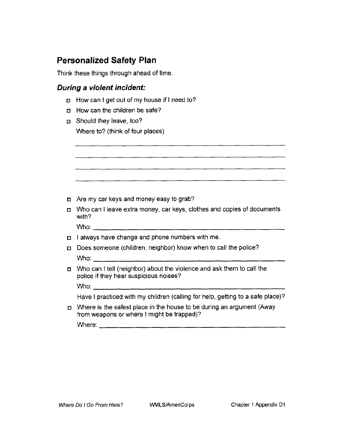# **Personalized Safety Plan**

Think these things through ahead of time.

## *During a violent incident:*

- $\Box$  How can I get out of my house if I need to?
- $\Box$  How can the children be safe?
- Should they leave, too? Where to? (think of four places)

|  | n Are my car keys and money easy to grab? |  |  |
|--|-------------------------------------------|--|--|
|  |                                           |  |  |

Who can I leave extra money, car keys, clothes and copies of documents with?

Who:

- $\Box$  I always have change and phone numbers with me.
- Does someone (children, neighbor) know when to call the police? Who:
- Who can I tell (neighbor) about the violence and ask them to call the police if they hear suspicious noises?

Who: \_\_\_\_\_\_\_\_\_\_\_\_\_

Have I practiced with my children (calling for help, getting to a safe place)?

Where is the safest place in the house to be during an argument (Away from weapons or where I might be trapped)?

Where: \_\_\_\_\_\_\_\_\_\_\_\_\_\_\_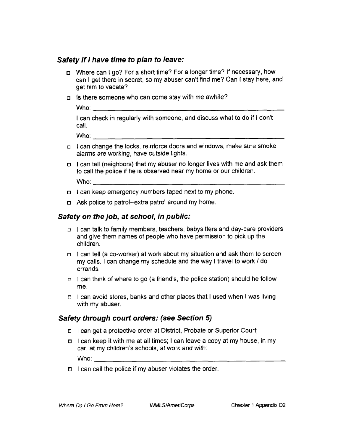### *Safety if I have time to plan to leave:*

- Where can I go? For a short time? For a longer time? If necessary, how can I get there in secret, so my abuser can't find me? Can I stay here, and get him to vacate?
- $\Box$  Is there someone who can come stay with me awhile?

Who:

I can check in regularly with someone, and discuss what to do if I don't call.

Who:

- $n \in \mathbb{Z}$  I can change the locks, reinforce doors and windows, make sure smoke alarms are working, have outside lights.
- $\Box$  I can tell (neighbors) that my abuser no longer lives with me and ask them to call the police if he is observed near my home or our children.

 $W$ ho:  $\_\_\_\_\_\_\_\_\_\_\_\$ 

- $\Box$  I can keep emergency numbers taped next to my phone.
- Ask police to patrol--extra patrol around my home.

#### *Safety on the job, at school, in public:*

- $\Box$  I can talk to family members, teachers, babysitters and day-care providers and give them names of people who have permission to pick up the children.
- I can tell (a co-worker) at work about my situation and ask them to screen my calls. I can change my schedule and the way I travel to work *I* do errands.
- $\Box$  I can think of where to go (a friend's, the police station) should he follow me.
- I can avoid stores, banks and other places that I used when I was living with my abuser.

### *Safety through court orders: (see Section 5)*

- I can get a protective order at District, Probate or Superior Court;
- I can keep it with me at all times; I can leave a copy at my house, in my car, at my children's schools, at work and with:

Who:

 $\Box$  I can call the police if my abuser violates the order.